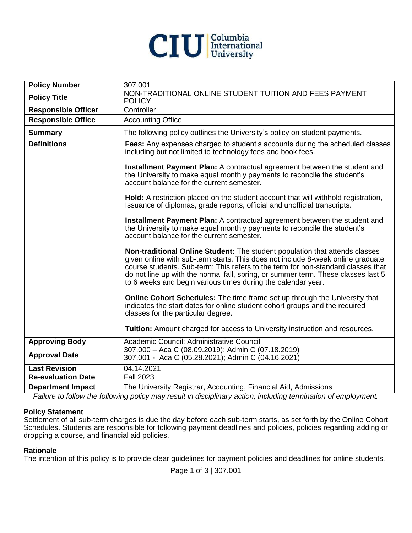

| <b>Policy Number</b>       | 307.001                                                                                                                                                                                                                                                                                                                                                                                                 |
|----------------------------|---------------------------------------------------------------------------------------------------------------------------------------------------------------------------------------------------------------------------------------------------------------------------------------------------------------------------------------------------------------------------------------------------------|
| <b>Policy Title</b>        | NON-TRADITIONAL ONLINE STUDENT TUITION AND FEES PAYMENT<br><b>POLICY</b>                                                                                                                                                                                                                                                                                                                                |
| <b>Responsible Officer</b> | Controller                                                                                                                                                                                                                                                                                                                                                                                              |
| <b>Responsible Office</b>  | <b>Accounting Office</b>                                                                                                                                                                                                                                                                                                                                                                                |
| <b>Summary</b>             | The following policy outlines the University's policy on student payments.                                                                                                                                                                                                                                                                                                                              |
| <b>Definitions</b>         | Fees: Any expenses charged to student's accounts during the scheduled classes<br>including but not limited to technology fees and book fees.                                                                                                                                                                                                                                                            |
|                            | Installment Payment Plan: A contractual agreement between the student and<br>the University to make equal monthly payments to reconcile the student's<br>account balance for the current semester.                                                                                                                                                                                                      |
|                            | Hold: A restriction placed on the student account that will withhold registration,<br>Issuance of diplomas, grade reports, official and unofficial transcripts.                                                                                                                                                                                                                                         |
|                            | Installment Payment Plan: A contractual agreement between the student and<br>the University to make equal monthly payments to reconcile the student's<br>account balance for the current semester.                                                                                                                                                                                                      |
|                            | Non-traditional Online Student: The student population that attends classes<br>given online with sub-term starts. This does not include 8-week online graduate<br>course students. Sub-term: This refers to the term for non-standard classes that<br>do not line up with the normal fall, spring, or summer term. These classes last 5<br>to 6 weeks and begin various times during the calendar year. |
|                            | <b>Online Cohort Schedules:</b> The time frame set up through the University that<br>indicates the start dates for online student cohort groups and the required<br>classes for the particular degree.                                                                                                                                                                                                  |
|                            | Tuition: Amount charged for access to University instruction and resources.                                                                                                                                                                                                                                                                                                                             |
| <b>Approving Body</b>      | Academic Council; Administrative Council                                                                                                                                                                                                                                                                                                                                                                |
| <b>Approval Date</b>       | 307.000 - Aca C (08.09.2019); Admin C (07.18.2019)<br>307.001 - Aca C (05.28.2021); Admin C (04.16.2021)                                                                                                                                                                                                                                                                                                |
| <b>Last Revision</b>       | 04.14.2021                                                                                                                                                                                                                                                                                                                                                                                              |
| <b>Re-evaluation Date</b>  | <b>Fall 2023</b>                                                                                                                                                                                                                                                                                                                                                                                        |
| <b>Department Impact</b>   | The University Registrar, Accounting, Financial Aid, Admissions                                                                                                                                                                                                                                                                                                                                         |

*Failure to follow the following policy may result in disciplinary action, including termination of employment.*

#### **Policy Statement**

Settlement of all sub-term charges is due the day before each sub-term starts, as set forth by the Online Cohort Schedules. Students are responsible for following payment deadlines and policies, policies regarding adding or dropping a course, and financial aid policies.

#### **Rationale**

The intention of this policy is to provide clear guidelines for payment policies and deadlines for online students.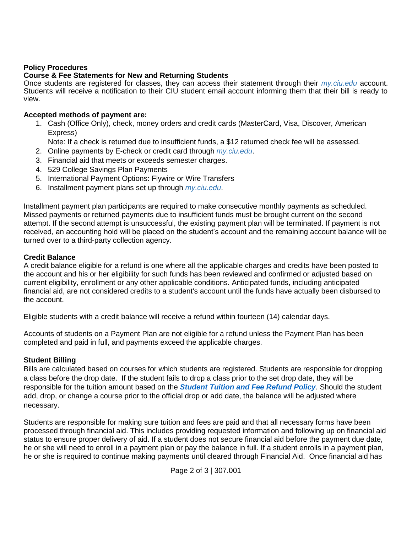## **Policy Procedures**

#### **Course & Fee Statements for New and Returning Students**

Once students are registered for classes, they can access their statement through their *[my.ciu.edu](http://my.ciu.edu/)* account. Students will receive a notification to their CIU student email account informing them that their bill is ready to view.

## **Accepted methods of payment are:**

1. Cash (Office Only), check, money orders and credit cards (MasterCard, Visa, Discover, American Express)

Note: If a check is returned due to insufficient funds, a \$12 returned check fee will be assessed.

- 2. Online payments by E-check or credit card through *[my.ciu.edu](https://ciuedu-my.sharepoint.com/personal/jofonda_mcmullen_ciu_edu/Documents/Meeting%20w%20Shandra/my.ciu.edu)*.
- 3. Financial aid that meets or exceeds semester charges.
- 4. 529 College Savings Plan Payments
- 5. International Payment Options: Flywire or Wire Transfers
- 6. Installment payment plans set up through *[my.ciu.edu](https://ciuedu-my.sharepoint.com/personal/jofonda_mcmullen_ciu_edu/Documents/ONL%20Documents/my.ciu.edu)*.

Installment payment plan participants are required to make consecutive monthly payments as scheduled. Missed payments or returned payments due to insufficient funds must be brought current on the second attempt. If the second attempt is unsuccessful, the existing payment plan will be terminated. If payment is not received, an accounting hold will be placed on the student's account and the remaining account balance will be turned over to a third-party collection agency.

## **Credit Balance**

A credit balance eligible for a refund is one where all the applicable charges and credits have been posted to the account and his or her eligibility for such funds has been reviewed and confirmed or adjusted based on current eligibility, enrollment or any other applicable conditions. Anticipated funds, including anticipated financial aid, are not considered credits to a student's account until the funds have actually been disbursed to the account.

Eligible students with a credit balance will receive a refund within fourteen (14) calendar days.

Accounts of students on a Payment Plan are not eligible for a refund unless the Payment Plan has been completed and paid in full, and payments exceed the applicable charges.

#### **Student Billing**

Bills are calculated based on courses for which students are registered. Students are responsible for dropping a class before the drop date. If the student fails to drop a class prior to the set drop date, they will be responsible for the tuition amount based on the *[Student Tuition and Fee Refund Policy](http://www.ciu.edu/sites/default/files/301%20003%20Student%20Tuition%20and%20Fee%20Refund%20Policy.pdf)*. Should the student add, drop, or change a course prior to the official drop or add date, the balance will be adjusted where necessary.

Students are responsible for making sure tuition and fees are paid and that all necessary forms have been processed through financial aid. This includes providing requested information and following up on financial aid status to ensure proper delivery of aid. If a student does not secure financial aid before the payment due date, he or she will need to enroll in a payment plan or pay the balance in full. If a student enrolls in a payment plan, he or she is required to continue making payments until cleared through Financial Aid. Once financial aid has